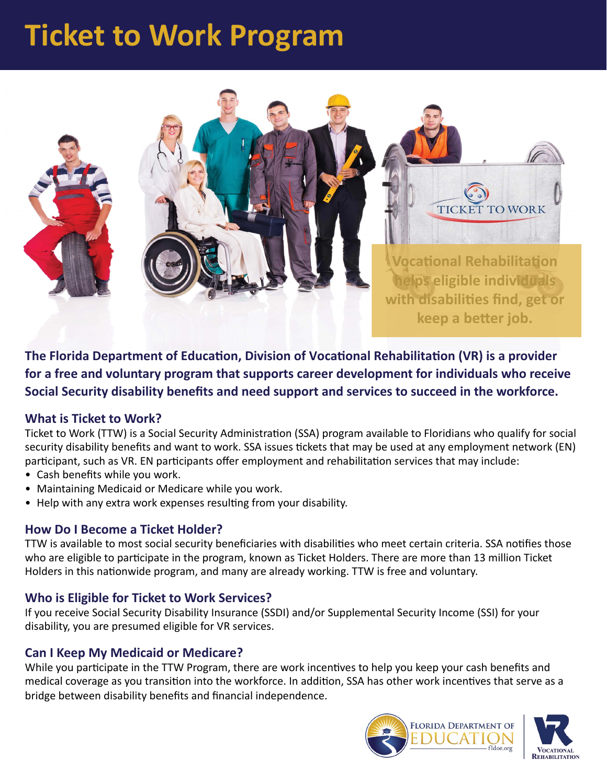# **Ticket to Work Program**



**The Florida Department of Education, Division of Vocational Rehabilitation (VR) is a provider for a free and voluntary program that supports career development for individuals who receive Social Security disability benefits and need support and services to succeed in the workforce.** 

### **What is Ticket to Work?**

Ticket to Work (TTW) is a Social Security Administration (SSA) program available to Floridians who qualify for social security disability benefits and want to work. SSA issues tickets that may be used at any employment network (EN) participant, such as VR. EN participants offer employment and rehabilitation services that may include:

- Cash benefits while you work.
- Maintaining Medicaid or Medicare while you work.
- Help with any extra work expenses resulting from your disability.

### **How Do I Become a Ticket Holder?**

TTW is available to most social security beneficiaries with disabilities who meet certain criteria. SSA notifies those who are eligible to participate in the program, known as Ticket Holders. There are more than 13 million Ticket Holders in this nationwide program, and many are already working. TTW is free and voluntary.

### **Who is Eligible for Ticket to Work Services?**

If you receive Social Security Disability Insurance (SSDI) and/or Supplemental Security Income (SSI) for your disability, you are presumed eligible for VR services.

### **Can I Keep My Medicaid or Medicare?**

While you participate in the TTW Program, there are work incentives to help you keep your cash benefits and medical coverage as you transition into the workforce. In addition, SSA has other work incentives that serve as a bridge between disability benefits and financial independence.